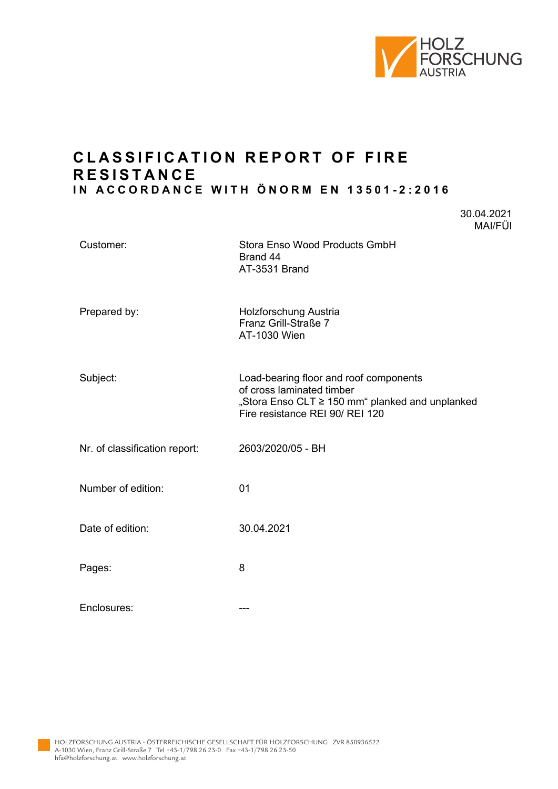

30.04.2021

# **CLAS SIFICATION REPORT OF FIRE R ESISTANCE IN ACCORDANCE WITH ÖNORM EN 13501 - 2:2016**

|                               | MAI/FÜI                                                                                                                                                   |
|-------------------------------|-----------------------------------------------------------------------------------------------------------------------------------------------------------|
| Customer:                     | Stora Enso Wood Products GmbH<br>Brand 44<br>AT-3531 Brand                                                                                                |
| Prepared by:                  | Holzforschung Austria<br>Franz Grill-Straße 7<br>AT-1030 Wien                                                                                             |
| Subject:                      | Load-bearing floor and roof components<br>of cross laminated timber<br>"Stora Enso CLT ≥ 150 mm" planked and unplanked<br>Fire resistance REI 90/ REI 120 |
| Nr. of classification report: | 2603/2020/05 - BH                                                                                                                                         |
| Number of edition:            | 01                                                                                                                                                        |
| Date of edition:              | 30.04.2021                                                                                                                                                |
| Pages:                        | 8                                                                                                                                                         |
| Enclosures:                   | ---                                                                                                                                                       |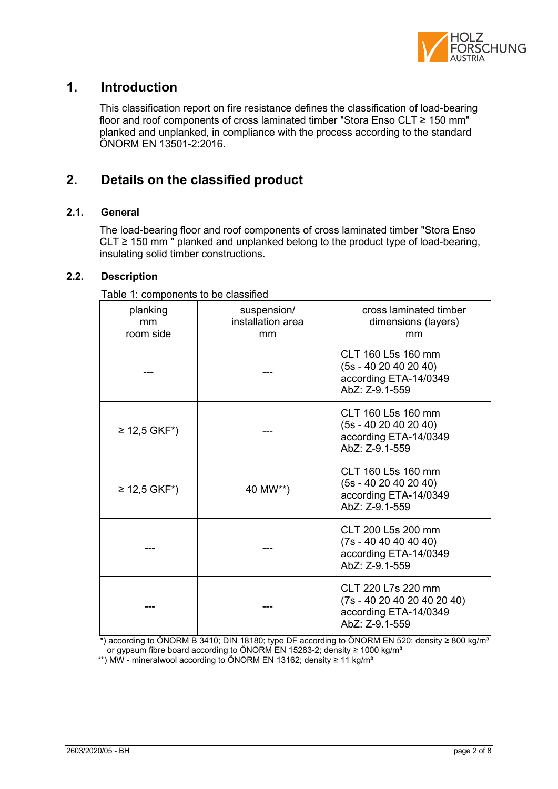

## **1. Introduction**

This classification report on fire resistance defines the classification of load-bearing floor and roof components of cross laminated timber "Stora Enso CLT ≥ 150 mm" planked and unplanked, in compliance with the process according to the standard ÖNORM EN 13501-2:2016.

# **2. Details on the classified product**

### **2.1. General**

The load-bearing floor and roof components of cross laminated timber "Stora Enso CLT ≥ 150 mm " planked and unplanked belong to the product type of load-bearing, insulating solid timber constructions.

### **2.2. Description**

| rable 1. Components to be classified |                                        |                                                                                          |  |  |  |  |
|--------------------------------------|----------------------------------------|------------------------------------------------------------------------------------------|--|--|--|--|
| planking<br>mm<br>room side          | suspension/<br>installation area<br>mm | cross laminated timber<br>dimensions (layers)<br>mm                                      |  |  |  |  |
|                                      |                                        | CLT 160 L5s 160 mm<br>$(5s - 4020402040)$<br>according ETA-14/0349<br>AbZ: Z-9.1-559     |  |  |  |  |
| ≥ 12,5 GKF <sup>*</sup> )            |                                        | CLT 160 L5s 160 mm<br>$(5s - 4020402040)$<br>according ETA-14/0349<br>AbZ: Z-9.1-559     |  |  |  |  |
| ≥ 12,5 GKF*)                         | 40 MW**)                               | CLT 160 L5s 160 mm<br>$(5s - 40 20 40 20 40)$<br>according ETA-14/0349<br>AbZ: Z-9.1-559 |  |  |  |  |
|                                      |                                        | CLT 200 L5s 200 mm<br>$(7s - 40 40 40 40 40)$<br>according ETA-14/0349<br>AbZ: Z-9.1-559 |  |  |  |  |
|                                      |                                        | CLT 220 L7s 220 mm<br>$(7s - 40204020402040)$<br>according ETA-14/0349<br>AbZ: Z-9.1-559 |  |  |  |  |

Table 1: components to be classified

 \*) according to ÖNORM B 3410; DIN 18180; type DF according to ÖNORM EN 520; density ≥ 800 kg/m³ or gypsum fibre board according to ÖNORM EN 15283-2; density ≥ 1000 kg/m<sup>3</sup>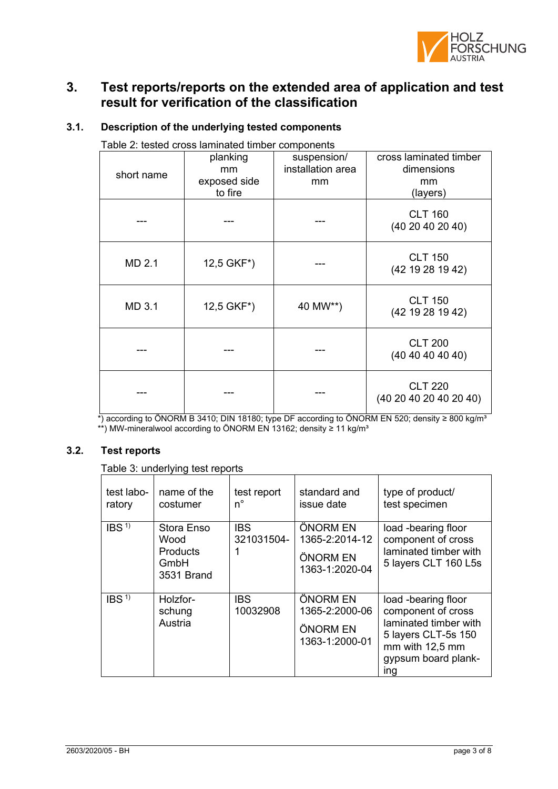

# **3. Test reports/reports on the extended area of application and test result for verification of the classification**

| Table 2: tested cross laminated timber components |                                           |                                        |                                                        |  |  |
|---------------------------------------------------|-------------------------------------------|----------------------------------------|--------------------------------------------------------|--|--|
| short name                                        | planking<br>mm<br>exposed side<br>to fire | suspension/<br>installation area<br>mm | cross laminated timber<br>dimensions<br>mm<br>(layers) |  |  |
|                                                   |                                           |                                        | <b>CLT 160</b><br>(4020402040)                         |  |  |
| MD 2.1                                            | 12,5 GKF*)                                |                                        | <b>CLT 150</b><br>(42 19 28 19 42)                     |  |  |
| MD 3.1                                            | 12,5 GKF*)                                | 40 MW**)                               | <b>CLT 150</b><br>(42 19 28 19 42)                     |  |  |
|                                                   |                                           |                                        | <b>CLT 200</b><br>(40 40 40 40 40)                     |  |  |
|                                                   |                                           |                                        | <b>CLT 220</b><br>(40 20 40 20 40 20 40)               |  |  |

### **3.1. Description of the underlying tested components**

 $^*$ ) according to ÖNORM B 3410; DIN 18180; type DF according to ÖNORM EN 520; density ≥ 800 kg/m $^3$ \*\*) MW-mineralwool according to ONORM EN 13162; density ≥ 11 kg/m<sup>3</sup>

### **3.2. Test reports**

Table 3: underlying test reports

| test labo-<br>ratory | name of the<br>costumer                                     | test report<br>n°        | standard and<br>issue date                               | type of product/<br>test specimen                                                                                                          |
|----------------------|-------------------------------------------------------------|--------------------------|----------------------------------------------------------|--------------------------------------------------------------------------------------------------------------------------------------------|
| IBS <sup>1</sup>     | Stora Enso<br>Wood<br><b>Products</b><br>GmbH<br>3531 Brand | <b>IBS</b><br>321031504- | ÖNORM EN<br>1365-2:2014-12<br>ÖNORM EN<br>1363-1:2020-04 | load -bearing floor<br>component of cross<br>laminated timber with<br>5 layers CLT 160 L5s                                                 |
| IBS <sup>1</sup>     | Holzfor-<br>schung<br>Austria                               | <b>IBS</b><br>10032908   | ÖNORM EN<br>1365-2:2000-06<br>ÖNORM EN<br>1363-1:2000-01 | load -bearing floor<br>component of cross<br>laminated timber with<br>5 layers CLT-5s 150<br>mm with 12,5 mm<br>gypsum board plank-<br>ing |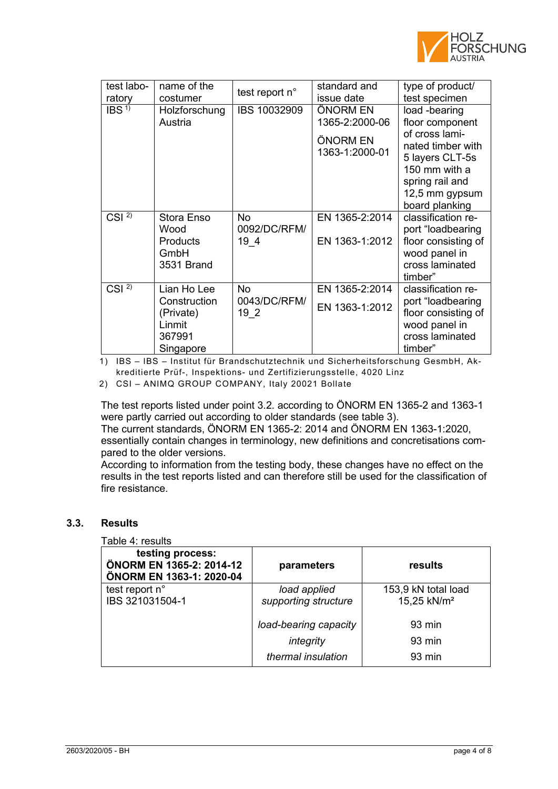

| test labo-<br>ratory | name of the<br>costumer                                                   | test report n°                    | standard and<br>issue date                               | type of product/<br>test specimen                                                                                                                                  |
|----------------------|---------------------------------------------------------------------------|-----------------------------------|----------------------------------------------------------|--------------------------------------------------------------------------------------------------------------------------------------------------------------------|
| IBS <sup>1</sup>     | Holzforschung<br>Austria                                                  | IBS 10032909                      | ÖNORM EN<br>1365-2:2000-06<br>ÖNORM EN<br>1363-1:2000-01 | load -bearing<br>floor component<br>of cross lami-<br>nated timber with<br>5 layers CLT-5s<br>150 mm with a<br>spring rail and<br>12,5 mm gypsum<br>board planking |
| CSI $2\overline{)}$  | Stora Enso<br>Wood<br><b>Products</b><br>GmbH<br>3531 Brand               | No.<br>0092/DC/RFM/<br>19 4       | EN 1365-2:2014<br>EN 1363-1:2012                         | classification re-<br>port "loadbearing<br>floor consisting of<br>wood panel in<br>cross laminated<br>timber"                                                      |
| CSI <sup>2</sup>     | Lian Ho Lee<br>Construction<br>(Private)<br>Linmit<br>367991<br>Singapore | <b>No</b><br>0043/DC/RFM/<br>19 2 | EN 1365-2:2014<br>EN 1363-1:2012                         | classification re-<br>port "loadbearing<br>floor consisting of<br>wood panel in<br>cross laminated<br>timber"                                                      |

1) IBS – IBS – Institut für Brandschutztechnik und Sicherheitsforschung GesmbH, Akkreditierte Prüf-, Inspektions- und Zertifizierungsstelle, 4020 Linz

2) CSI – ANIMQ GROUP COMPANY, Italy 20021 Bollate

The test reports listed under point 3.2. according to ÖNORM EN 1365-2 and 1363-1 were partly carried out according to older standards (see table 3). The current standards, ÖNORM EN 1365-2: 2014 and ÖNORM EN 1363-1:2020,

essentially contain changes in terminology, new definitions and concretisations compared to the older versions.

According to information from the testing body, these changes have no effect on the results in the test reports listed and can therefore still be used for the classification of fire resistance.

#### **3.3. Results**

### Table 4: results

| testing process:<br>ÖNORM EN 1365-2: 2014-12<br>ÖNORM EN 1363-1: 2020-04 | parameters            | results                 |
|--------------------------------------------------------------------------|-----------------------|-------------------------|
| test report n°                                                           | load applied          | 153,9 kN total load     |
| IBS 321031504-1                                                          | supporting structure  | 15,25 kN/m <sup>2</sup> |
|                                                                          | load-bearing capacity | $93 \text{ min}$        |
|                                                                          | integrity             | $93 \text{ min}$        |
|                                                                          | thermal insulation    | $93 \text{ min}$        |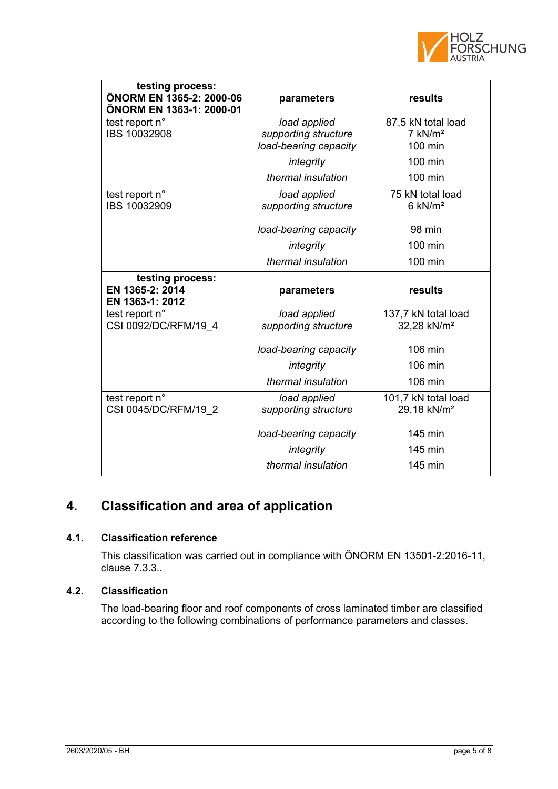

| testing process:<br>ÖNORM EN 1365-2: 2000-06<br>ÖNORM EN 1363-1: 2000-01 | parameters            | results                 |
|--------------------------------------------------------------------------|-----------------------|-------------------------|
| test report n°                                                           | load applied          | 87,5 kN total load      |
| IBS 10032908                                                             | supporting structure  | $7$ kN/ $m2$            |
|                                                                          | load-bearing capacity | 100 min                 |
|                                                                          | integrity             | 100 min                 |
|                                                                          | thermal insulation    | 100 min                 |
| test report n°                                                           | load applied          | 75 kN total load        |
| IBS 10032909                                                             | supporting structure  | $6$ kN/ $m2$            |
|                                                                          | load-bearing capacity | 98 min                  |
|                                                                          | integrity             | 100 min                 |
|                                                                          | thermal insulation    | 100 min                 |
| testing process:<br>EN 1365-2: 2014<br>EN 1363-1: 2012                   | parameters            | results                 |
| test report n°                                                           | load applied          | 137,7 kN total load     |
| CSI 0092/DC/RFM/19 4                                                     | supporting structure  | 32,28 kN/m <sup>2</sup> |
|                                                                          | load-bearing capacity | 106 min                 |
|                                                                          | integrity             | 106 min                 |
|                                                                          | thermal insulation    | 106 min                 |
| test report n°                                                           | load applied          | 101,7 kN total load     |
| CSI 0045/DC/RFM/19 2                                                     | supporting structure  | 29,18 kN/m <sup>2</sup> |
|                                                                          | load-bearing capacity | 145 min                 |
|                                                                          | integrity             | 145 min                 |
|                                                                          |                       |                         |

# **4. Classification and area of application**

### **4.1. Classification reference**

This classification was carried out in compliance with ÖNORM EN 13501-2:2016-11, clause 7.3.3..

### **4.2. Classification**

The load-bearing floor and roof components of cross laminated timber are classified according to the following combinations of performance parameters and classes.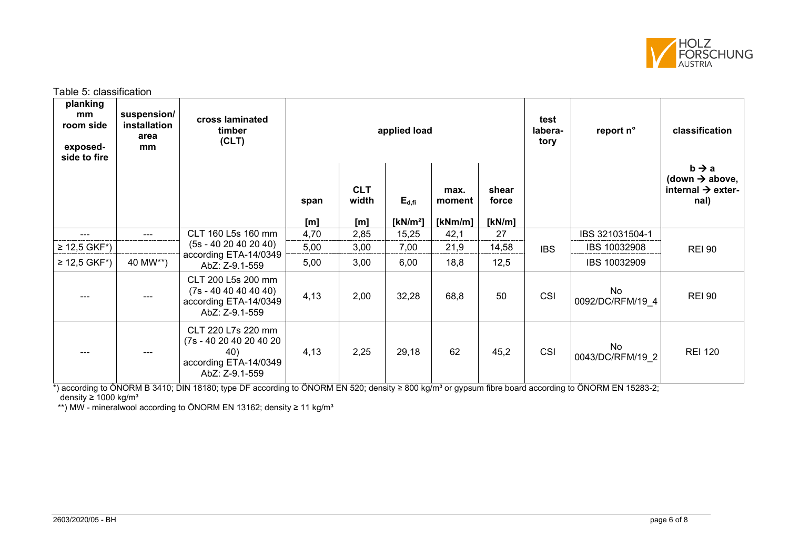

Table 5: classification

| planking<br>mm<br>room side<br>exposed-<br>side to fire | suspension/<br>installation<br>area<br>mm | cross laminated<br>timber<br>(CLT)                                                              | applied load |                                         |                           | test<br>labera-<br>tory   | report n°                | classification |                        |                                                                                          |
|---------------------------------------------------------|-------------------------------------------|-------------------------------------------------------------------------------------------------|--------------|-----------------------------------------|---------------------------|---------------------------|--------------------------|----------------|------------------------|------------------------------------------------------------------------------------------|
|                                                         |                                           |                                                                                                 | span<br>[m]  | <b>CLT</b><br>width<br>[ <sub>m</sub> ] | $E_{d,fi}$<br>[ $kN/m2$ ] | max.<br>moment<br>[kNm/m] | shear<br>force<br>[kN/m] |                |                        | $b \rightarrow a$<br>(down $\rightarrow$ above,<br>internal $\rightarrow$ exter-<br>nal) |
|                                                         |                                           | CLT 160 L5s 160 mm                                                                              | 4,70         | 2,85                                    | 15,25                     | 42,1                      | 27                       |                | IBS 321031504-1        |                                                                                          |
| ≥ 12,5 GKF*)                                            |                                           | $(5s - 4020402040)$                                                                             | 5,00         | 3,00                                    | 7,00                      | 21,9                      | 14,58                    | <b>IBS</b>     | IBS 10032908           | <b>REI 90</b>                                                                            |
| ≥ 12,5 GKF*)                                            | 40 MW**)                                  | according ETA-14/0349<br>AbZ: Z-9.1-559                                                         | 5,00         | 3,00                                    | 6,00                      | 18,8                      | 12,5                     |                | IBS 10032909           |                                                                                          |
|                                                         | ---                                       | CLT 200 L5s 200 mm<br>$(7s - 40 40 40 40 40)$<br>according ETA-14/0349<br>AbZ: Z-9.1-559        | 4,13         | 2,00                                    | 32,28                     | 68,8                      | 50                       | CSI            | No<br>0092/DC/RFM/19 4 | <b>REI 90</b>                                                                            |
|                                                         | ---                                       | CLT 220 L7s 220 mm<br>(7s - 40 20 40 20 40 20<br>40)<br>according ETA-14/0349<br>AbZ: Z-9.1-559 | 4,13         | 2,25                                    | 29,18                     | 62                        | 45,2                     | CSI            | No<br>0043/DC/RFM/19 2 | <b>REI 120</b>                                                                           |

\*) according to ÖNORM B 3410; DIN 18180; type DF according to ÖNORM EN 520; density ≥ 800 kg/m<sup>3</sup> or gypsum fibre board according to ÖNORM EN 15283-2;  $\sigma$  density ≥ 1000 kg/m<sup>3</sup>

\*\*) MW - mineralwool according to ÖNORM EN 13162; density  $\geq 11$  kg/m<sup>3</sup>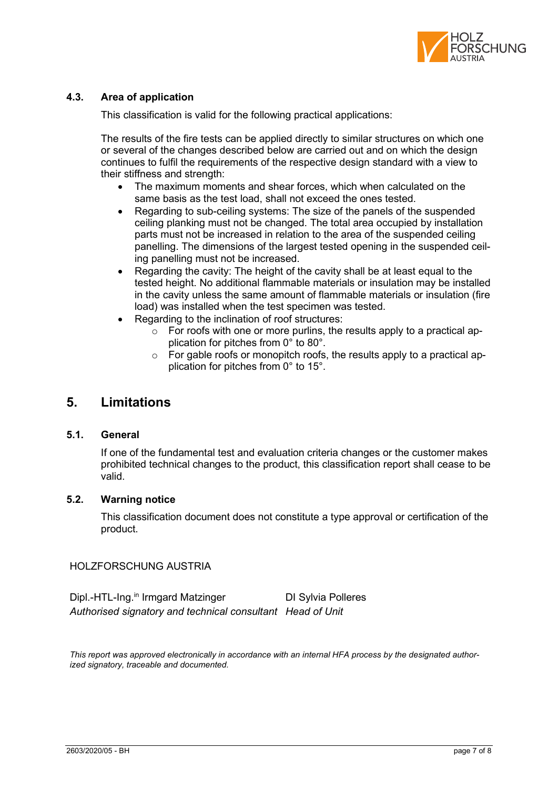

### **4.3. Area of application**

This classification is valid for the following practical applications:

The results of the fire tests can be applied directly to similar structures on which one or several of the changes described below are carried out and on which the design continues to fulfil the requirements of the respective design standard with a view to their stiffness and strength:

- The maximum moments and shear forces, which when calculated on the same basis as the test load, shall not exceed the ones tested.
- Regarding to sub-ceiling systems: The size of the panels of the suspended ceiling planking must not be changed. The total area occupied by installation parts must not be increased in relation to the area of the suspended ceiling panelling. The dimensions of the largest tested opening in the suspended ceiling panelling must not be increased.
- Regarding the cavity: The height of the cavity shall be at least equal to the tested height. No additional flammable materials or insulation may be installed in the cavity unless the same amount of flammable materials or insulation (fire load) was installed when the test specimen was tested.
- Regarding to the inclination of roof structures:
	- $\circ$  For roofs with one or more purlins, the results apply to a practical application for pitches from 0° to 80°.
	- $\circ$  For gable roofs or monopitch roofs, the results apply to a practical application for pitches from 0° to 15°.

### **5. Limitations**

### **5.1. General**

If one of the fundamental test and evaluation criteria changes or the customer makes prohibited technical changes to the product, this classification report shall cease to be valid.

### **5.2. Warning notice**

This classification document does not constitute a type approval or certification of the product.

#### HOLZFORSCHUNG AUSTRIA

Dipl.-HTL-Ing.<sup>in</sup> Irmgard Matzinger DI Sylvia Polleres *Authorised signatory and technical consultant Head of Unit*

*This report was approved electronically in accordance with an internal HFA process by the designated authorized signatory, traceable and documented.*